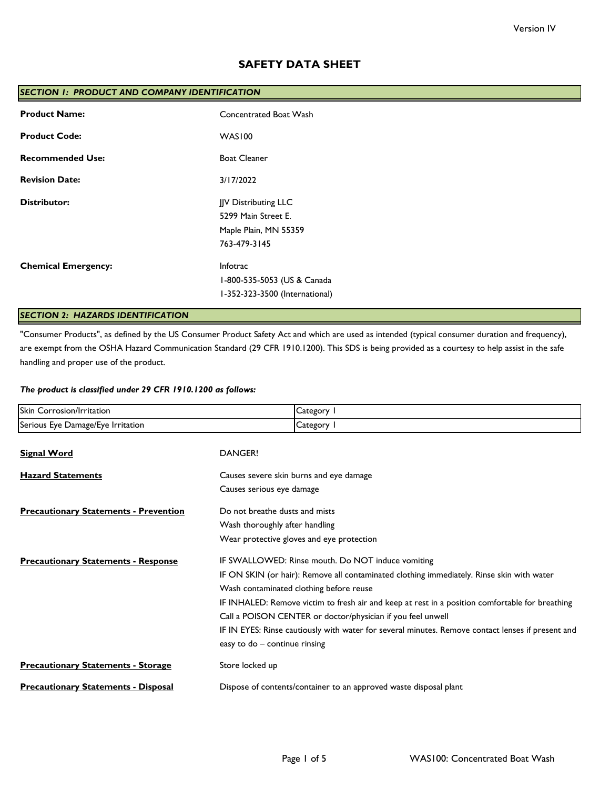# **SAFETY DATA SHEET**

| SECTION 1: PRODUCT AND COMPANY IDENTIFICATION |                                                                                      |  |
|-----------------------------------------------|--------------------------------------------------------------------------------------|--|
| <b>Product Name:</b>                          | Concentrated Boat Wash                                                               |  |
| <b>Product Code:</b>                          | WAS100                                                                               |  |
| <b>Recommended Use:</b>                       | <b>Boat Cleaner</b>                                                                  |  |
| <b>Revision Date:</b>                         | 3/17/2022                                                                            |  |
| <b>Distributor:</b>                           | JJV Distributing LLC<br>5299 Main Street E.<br>Maple Plain, MN 55359<br>763-479-3145 |  |
| <b>Chemical Emergency:</b>                    | Infotrac<br>1-800-535-5053 (US & Canada<br>I-352-323-3500 (International)            |  |

# *SECTION 2: HAZARDS IDENTIFICATION*

"Consumer Products", as defined by the US Consumer Product Safety Act and which are used as intended (typical consumer duration and frequency), are exempt from the OSHA Hazard Communication Standard (29 CFR 1910.1200). This SDS is being provided as a courtesy to help assist in the safe handling and proper use of the product.

## *The product is classified under 29 CFR 1910.1200 as follows:*

| Skin Corrosion/Irritation                    | Category 1                                                                                        |  |
|----------------------------------------------|---------------------------------------------------------------------------------------------------|--|
| Serious Eye Damage/Eye Irritation            | Category I                                                                                        |  |
| <b>Signal Word</b>                           | DANGER!                                                                                           |  |
| <b>Hazard Statements</b>                     | Causes severe skin burns and eye damage                                                           |  |
|                                              | Causes serious eye damage                                                                         |  |
| <b>Precautionary Statements - Prevention</b> | Do not breathe dusts and mists                                                                    |  |
|                                              | Wash thoroughly after handling                                                                    |  |
|                                              | Wear protective gloves and eye protection                                                         |  |
| <b>Precautionary Statements - Response</b>   | IF SWALLOWED: Rinse mouth. Do NOT induce vomiting                                                 |  |
|                                              | IF ON SKIN (or hair): Remove all contaminated clothing immediately. Rinse skin with water         |  |
|                                              | Wash contaminated clothing before reuse                                                           |  |
|                                              | IF INHALED: Remove victim to fresh air and keep at rest in a position comfortable for breathing   |  |
|                                              | Call a POISON CENTER or doctor/physician if you feel unwell                                       |  |
|                                              | IF IN EYES: Rinse cautiously with water for several minutes. Remove contact lenses if present and |  |
|                                              | easy to do - continue rinsing                                                                     |  |
| <b>Precautionary Statements - Storage</b>    | Store locked up                                                                                   |  |
| <b>Precautionary Statements - Disposal</b>   | Dispose of contents/container to an approved waste disposal plant                                 |  |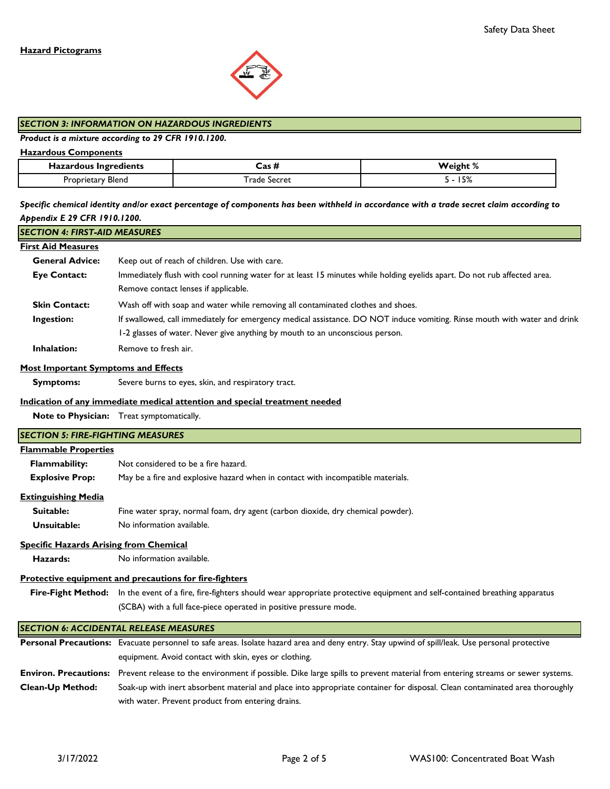

## *SECTION 3: INFORMATION ON HAZARDOUS INGREDIENTS*

## *Product is a mixture according to 29 CFR 1910.1200.*

## **Hazardous Components**

| Hazardous Ingredients | - 100           | 'eıghı<br>. /o |
|-----------------------|-----------------|----------------|
| --<br>Blend           | Secret<br>rade. | $-2$<br>J/c    |

*Specific chemical identity and/or exact percentage of components has been withheld in accordance with a trade secret claim according to Appendix E 29 CFR 1910.1200.*

## *SECTION 4: FIRST-AID MEASURES*

## **First Aid Measures**

| <b>General Advice:</b> | Keep out of reach of children. Use with care.                                                                             |
|------------------------|---------------------------------------------------------------------------------------------------------------------------|
| <b>Eye Contact:</b>    | Immediately flush with cool running water for at least 15 minutes while holding eyelids apart. Do not rub affected area.  |
|                        | Remove contact lenses if applicable.                                                                                      |
| <b>Skin Contact:</b>   | Wash off with soap and water while removing all contaminated clothes and shoes.                                           |
| Ingestion:             | If swallowed, call immediately for emergency medical assistance. DO NOT induce vomiting. Rinse mouth with water and drink |
|                        | 1-2 glasses of water. Never give anything by mouth to an unconscious person.                                              |
| <b>Inhalation:</b>     | Remove to fresh air.                                                                                                      |

#### **Most Important Symptoms and Effects**

 **Symptoms:** Severe burns to eyes, skin, and respiratory tract.

#### **Indication of any immediate medical attention and special treatment needed**

equipment. Avoid contact with skin, eyes or clothing.

**Note to Physician:** Treat symptomatically.

# **Flammable Properties Flammability: Explosive Prop:** May be a fire and explosive hazard when in contact with incompatible materials.  **Suitable: Unsuitable: Hazards:** Fire-Fight Method: In the event of a fire, fire-fighters should wear appropriate protective equipment and self-contained breathing apparatus Personal Precautions: Evacuate personnel to safe areas. Isolate hazard area and deny entry. Stay upwind of spill/leak. Use personal protective Fine water spray, normal foam, dry agent (carbon dioxide, dry chemical powder). **Protective equipment and precautions for fire-fighters** *SECTION 5: FIRE-FIGHTING MEASURES* Not considered to be a fire hazard. **Specific Hazards Arising from Chemical** No information available. *SECTION 6: ACCIDENTAL RELEASE MEASURES* (SCBA) with a full face-piece operated in positive pressure mode. No information available. **Extinguishing Media**

Environ. Precautions: Prevent release to the environment if possible. Dike large spills to prevent material from entering streams or sewer systems. **Clean-Up Method:** Soak-up with inert absorbent material and place into appropriate container for disposal. Clean contaminated area thoroughly with water. Prevent product from entering drains.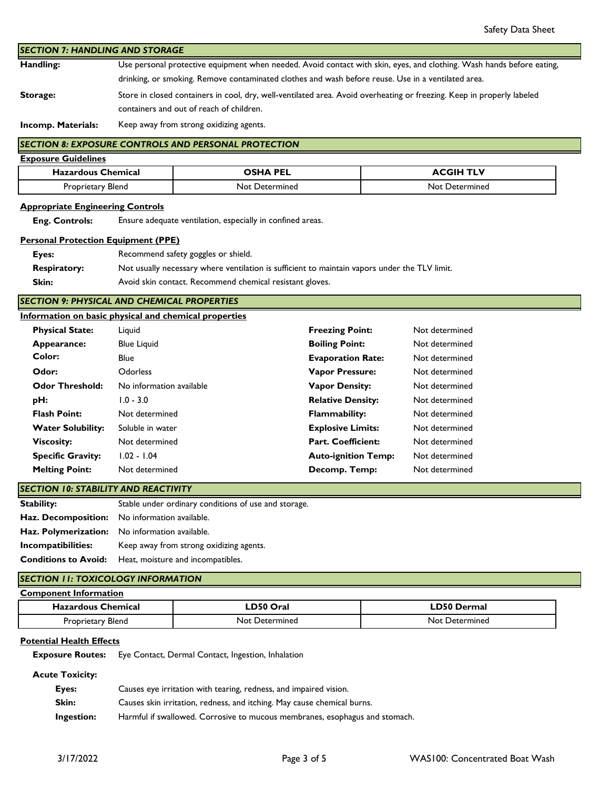**Handling: Storage:** *SECTION 7: HANDLING AND STORAGE* Store in closed containers in cool, dry, well-ventilated area. Avoid overheating or freezing. Keep in properly labeled containers and out of reach of children. Use personal protective equipment when needed. Avoid contact with skin, eyes, and clothing. Wash hands before eating, drinking, or smoking. Remove contaminated clothes and wash before reuse. Use in a ventilated area.

**Incomp. Materials:** Keep away from strong oxidizing agents.

# **SECTION 8: EXPOSURE CONTROLS AND PERSONAL PROTECTION**

| <b>Exposure Guidelines</b> |                       |                  |
|----------------------------|-----------------------|------------------|
| <b>Hazardous Chemical</b>  | OSHA PEL              | <b>ACGIH TLV</b> |
| Proprietary Blend          | <b>Not Determined</b> | Not Determined   |

## **Appropriate Engineering Controls**

 **Eng. Controls:** Ensure adequate ventilation, especially in confined areas.

## **Personal Protection Equipment (PPE)**

| Eyes:               | Recommend safety goggles or shield.                                                           |
|---------------------|-----------------------------------------------------------------------------------------------|
| <b>Respiratory:</b> | Not usually necessary where ventilation is sufficient to maintain vapors under the TLV limit. |
| Skin:               | Avoid skin contact. Recommend chemical resistant gloves.                                      |

*SECTION 9: PHYSICAL AND CHEMICAL PROPERTIES*

|                          | Information on basic physical and chemical properties |                            |                |
|--------------------------|-------------------------------------------------------|----------------------------|----------------|
| <b>Physical State:</b>   | Liguid                                                | <b>Freezing Point:</b>     | Not determined |
| Appearance:              | <b>Blue Liquid</b>                                    | <b>Boiling Point:</b>      | Not determined |
| Color:                   | <b>Blue</b>                                           | <b>Evaporation Rate:</b>   | Not determined |
| Odor:                    | <b>Odorless</b>                                       | <b>Vapor Pressure:</b>     | Not determined |
| <b>Odor Threshold:</b>   | No information available                              | <b>Vapor Density:</b>      | Not determined |
| pH:                      | $1.0 - 3.0$                                           | <b>Relative Density:</b>   | Not determined |
| <b>Flash Point:</b>      | Not determined                                        | <b>Flammability:</b>       | Not determined |
| <b>Water Solubility:</b> | Soluble in water                                      | <b>Explosive Limits:</b>   | Not determined |
| <b>Viscosity:</b>        | Not determined                                        | <b>Part. Coefficient:</b>  | Not determined |
| <b>Specific Gravity:</b> | 1.02 - 1.04                                           | <b>Auto-ignition Temp:</b> | Not determined |
| <b>Melting Point:</b>    | Not determined                                        | Decomp. Temp:              | Not determined |
|                          |                                                       |                            |                |

*SECTION 10: STABILITY AND REACTIVITY*

| Stability:                  | Stable under ordinary conditions of use and storage.  |  |
|-----------------------------|-------------------------------------------------------|--|
|                             | <b>Haz. Decomposition:</b> No information available.  |  |
|                             | <b>Haz. Polymerization:</b> No information available. |  |
| Incompatibilities:          | Keep away from strong oxidizing agents.               |  |
| <b>Conditions to Avoid:</b> | Heat, moisture and incompatibles.                     |  |

# *SECTION 11: TOXICOLOGY INFORMATION*

| <b>Component Information</b> |                |                    |
|------------------------------|----------------|--------------------|
| <b>Hazardous Chemical</b>    | ∟D50 Oral      | <b>LD50 Dermal</b> |
| Proprietary Blend            | Not Determined | Not Determined     |

# **Potential Health Effects**

 **Exposure Routes:** Eye Contact, Dermal Contact, Ingestion, Inhalation

 **Acute Toxicity:**

| Eyes:      | Causes eye irritation with tearing, redness, and impaired vision.           |
|------------|-----------------------------------------------------------------------------|
| Skin:      | Causes skin irritation, redness, and itching. May cause chemical burns.     |
| Ingestion: | Harmful if swallowed. Corrosive to mucous membranes, esophagus and stomach. |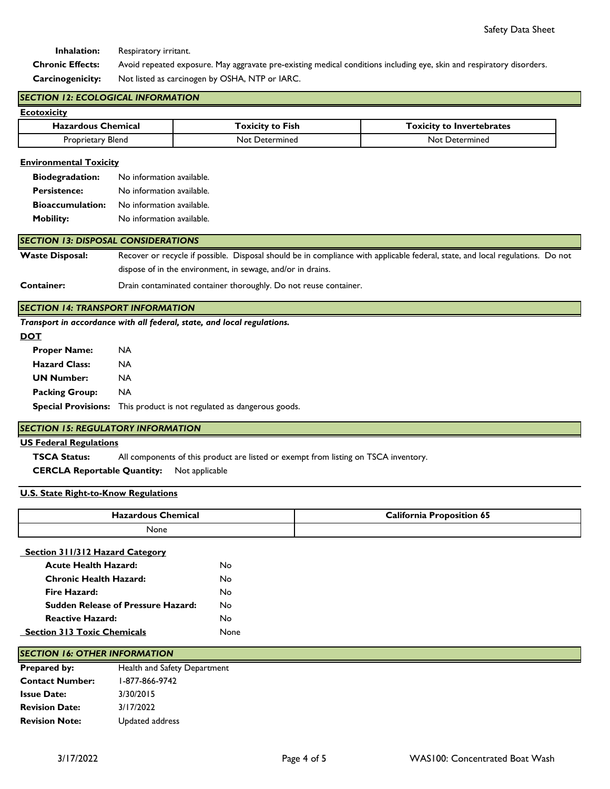**Inhalation:** Respiratory irritant.

 **Chronic Effects: Carcinogenicity:** Not listed as carcinogen by OSHA, NTP or IARC. Avoid repeated exposure. May aggravate pre-existing medical conditions including eye, skin and respiratory disorders.

## *SECTION 12: ECOLOGICAL INFORMATION*

| Ecotoxicity               |                         |                                  |
|---------------------------|-------------------------|----------------------------------|
| <b>Hazardous Chemical</b> | <b>Toxicity to Fish</b> | <b>Toxicity to Invertebrates</b> |
| Proprietary Blend         | Not Determined          | <b>Not Determined</b>            |

## **Environmental Toxicity**

| <b>Biodegradation:</b>  | No information available. |
|-------------------------|---------------------------|
| <b>Persistence:</b>     | No information available. |
| <b>Bioaccumulation:</b> | No information available. |
| <b>Mobility:</b>        | No information available. |

## *SECTION 13: DISPOSAL CONSIDERATIONS*

**Waste Disposal:** Recover or recycle if possible. Disposal should be in compliance with applicable federal, state, and local regulations. Do not dispose of in the environment, in sewage, and/or in drains.

#### **Container:** Drain contaminated container thoroughly. Do not reuse container.

## *SECTION 14: TRANSPORT INFORMATION*

*Transport in accordance with all federal, state, and local regulations.* 

#### **DOT**

| <b>Proper Name:</b>   | NA                                                                           |
|-----------------------|------------------------------------------------------------------------------|
| <b>Hazard Class:</b>  | NA                                                                           |
| <b>UN Number:</b>     | <b>NA</b>                                                                    |
| <b>Packing Group:</b> | NA.                                                                          |
|                       | <b>Special Provisions:</b> This product is not regulated as dangerous goods. |
|                       |                                                                              |

## *SECTION 15: REGULATORY INFORMATION*

## **US Federal Regulations**

 **TSCA Status:** All components of this product are listed or exempt from listing on TSCA inventory.

 **CERCLA Reportable Quantity:** Not applicable

## **U.S. State Right-to-Know Regulations**

| hemical<br>----- | - -<br>`alifawnia<br>nn<br>-65<br>. |
|------------------|-------------------------------------|
| None             |                                     |

#### **Section 311/312 Hazard Category**

| <b>Acute Health Hazard:</b>               | N٥          |
|-------------------------------------------|-------------|
| Chronic Health Hazard:                    | N٥          |
| Fire Hazard:                              | N٥          |
| <b>Sudden Release of Pressure Hazard:</b> | N٥          |
| <b>Reactive Hazard:</b>                   | N٥          |
| <b>Section 313 Toxic Chemicals</b>        | <b>None</b> |
|                                           |             |

## *SECTION 16: OTHER INFORMATION*

| <b>Prepared by:</b>    | Health and Safety Department |  |
|------------------------|------------------------------|--|
| <b>Contact Number:</b> | 1-877-866-9742               |  |
| <b>Issue Date:</b>     | 3/30/2015                    |  |
| <b>Revision Date:</b>  | 3/17/2022                    |  |
| <b>Revision Note:</b>  | Updated address              |  |